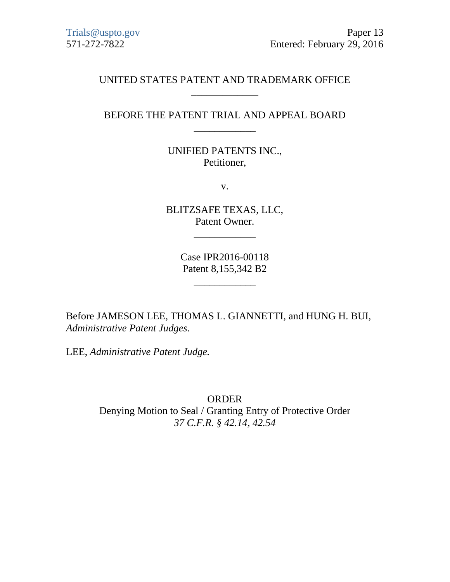## UNITED STATES PATENT AND TRADEMARK OFFICE \_\_\_\_\_\_\_\_\_\_\_\_\_

## BEFORE THE PATENT TRIAL AND APPEAL BOARD \_\_\_\_\_\_\_\_\_\_\_\_

UNIFIED PATENTS INC., Petitioner,

v.

BLITZSAFE TEXAS, LLC, Patent Owner.

\_\_\_\_\_\_\_\_\_\_\_\_

Case IPR2016-00118 Patent 8,155,342 B2

\_\_\_\_\_\_\_\_\_\_\_\_

Before JAMESON LEE, THOMAS L. GIANNETTI, and HUNG H. BUI, *Administrative Patent Judges.*

LEE, *Administrative Patent Judge.*

ORDER Denying Motion to Seal / Granting Entry of Protective Order *37 C.F.R. § 42.14, 42.54*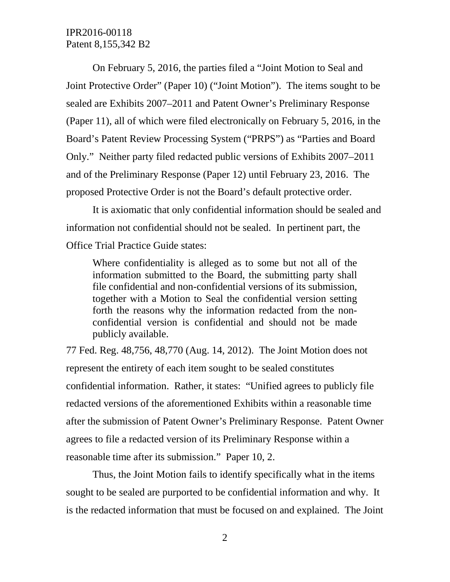IPR2016-00118 Patent 8,155,342 B2

On February 5, 2016, the parties filed a "Joint Motion to Seal and Joint Protective Order" (Paper 10) ("Joint Motion"). The items sought to be sealed are Exhibits 2007–2011 and Patent Owner's Preliminary Response (Paper 11), all of which were filed electronically on February 5, 2016, in the Board's Patent Review Processing System ("PRPS") as "Parties and Board Only." Neither party filed redacted public versions of Exhibits 2007–2011 and of the Preliminary Response (Paper 12) until February 23, 2016. The proposed Protective Order is not the Board's default protective order.

It is axiomatic that only confidential information should be sealed and information not confidential should not be sealed. In pertinent part, the Office Trial Practice Guide states:

Where confidentiality is alleged as to some but not all of the information submitted to the Board, the submitting party shall file confidential and non-confidential versions of its submission, together with a Motion to Seal the confidential version setting forth the reasons why the information redacted from the nonconfidential version is confidential and should not be made publicly available.

77 Fed. Reg. 48,756, 48,770 (Aug. 14, 2012). The Joint Motion does not represent the entirety of each item sought to be sealed constitutes confidential information. Rather, it states: "Unified agrees to publicly file redacted versions of the aforementioned Exhibits within a reasonable time after the submission of Patent Owner's Preliminary Response. Patent Owner agrees to file a redacted version of its Preliminary Response within a reasonable time after its submission." Paper 10, 2.

Thus, the Joint Motion fails to identify specifically what in the items sought to be sealed are purported to be confidential information and why. It is the redacted information that must be focused on and explained. The Joint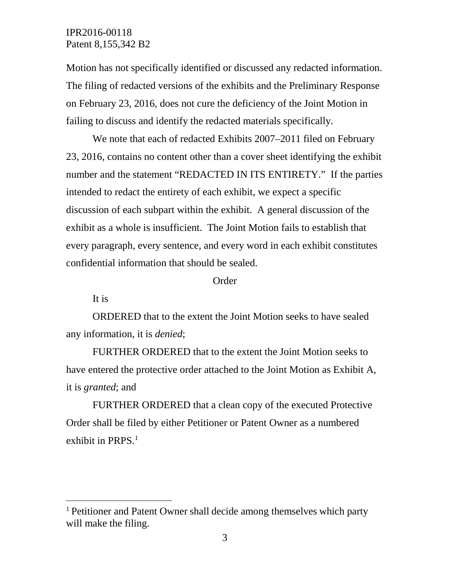## IPR2016-00118 Patent 8,155,342 B2

Motion has not specifically identified or discussed any redacted information. The filing of redacted versions of the exhibits and the Preliminary Response on February 23, 2016, does not cure the deficiency of the Joint Motion in failing to discuss and identify the redacted materials specifically.

We note that each of redacted Exhibits 2007–2011 filed on February 23, 2016, contains no content other than a cover sheet identifying the exhibit number and the statement "REDACTED IN ITS ENTIRETY." If the parties intended to redact the entirety of each exhibit, we expect a specific discussion of each subpart within the exhibit. A general discussion of the exhibit as a whole is insufficient. The Joint Motion fails to establish that every paragraph, every sentence, and every word in each exhibit constitutes confidential information that should be sealed.

Order

It is

ORDERED that to the extent the Joint Motion seeks to have sealed any information, it is *denied*;

FURTHER ORDERED that to the extent the Joint Motion seeks to have entered the protective order attached to the Joint Motion as Exhibit A, it is *granted*; and

FURTHER ORDERED that a clean copy of the executed Protective Order shall be filed by either Petitioner or Patent Owner as a numbered exhibit in PRPS. [1](#page-2-0)

<span id="page-2-0"></span> <sup>1</sup> Petitioner and Patent Owner shall decide among themselves which party will make the filing.